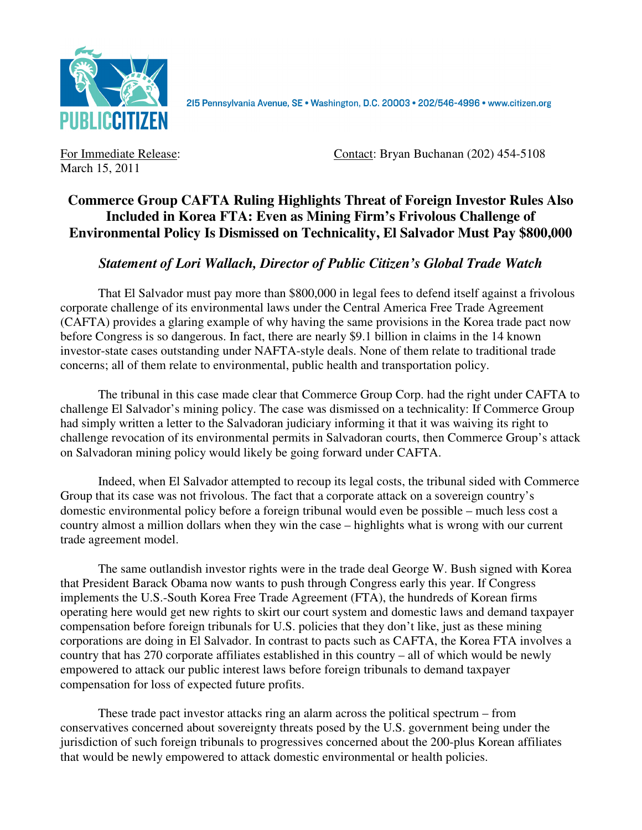

2I5 Pennsylvania Avenue, SE · Washington, D.C. 20003 · 202/546-4996 · www.citizen.org

March 15, 2011

For Immediate Release: **Contact: Bryan Buchanan** (202) 454-5108

## **Commerce Group CAFTA Ruling Highlights Threat of Foreign Investor Rules Also Included in Korea FTA: Even as Mining Firm's Frivolous Challenge of Environmental Policy Is Dismissed on Technicality, El Salvador Must Pay \$800,000**

## *Statement of Lori Wallach, Director of Public Citizen's Global Trade Watch*

That El Salvador must pay more than \$800,000 in legal fees to defend itself against a frivolous corporate challenge of its environmental laws under the Central America Free Trade Agreement (CAFTA) provides a glaring example of why having the same provisions in the Korea trade pact now before Congress is so dangerous. In fact, there are nearly \$9.1 billion in claims in the 14 known investor-state cases outstanding under NAFTA-style deals. None of them relate to traditional trade concerns; all of them relate to environmental, public health and transportation policy.

The tribunal in this case made clear that Commerce Group Corp. had the right under CAFTA to challenge El Salvador's mining policy. The case was dismissed on a technicality: If Commerce Group had simply written a letter to the Salvadoran judiciary informing it that it was waiving its right to challenge revocation of its environmental permits in Salvadoran courts, then Commerce Group's attack on Salvadoran mining policy would likely be going forward under CAFTA.

Indeed, when El Salvador attempted to recoup its legal costs, the tribunal sided with Commerce Group that its case was not frivolous. The fact that a corporate attack on a sovereign country's domestic environmental policy before a foreign tribunal would even be possible – much less cost a country almost a million dollars when they win the case – highlights what is wrong with our current trade agreement model.

The same outlandish investor rights were in the trade deal George W. Bush signed with Korea that President Barack Obama now wants to push through Congress early this year. If Congress implements the U.S.-South Korea Free Trade Agreement (FTA), the hundreds of Korean firms operating here would get new rights to skirt our court system and domestic laws and demand taxpayer compensation before foreign tribunals for U.S. policies that they don't like, just as these mining corporations are doing in El Salvador. In contrast to pacts such as CAFTA, the Korea FTA involves a country that has 270 corporate affiliates established in this country – all of which would be newly empowered to attack our public interest laws before foreign tribunals to demand taxpayer compensation for loss of expected future profits.

These trade pact investor attacks ring an alarm across the political spectrum – from conservatives concerned about sovereignty threats posed by the U.S. government being under the jurisdiction of such foreign tribunals to progressives concerned about the 200-plus Korean affiliates that would be newly empowered to attack domestic environmental or health policies.